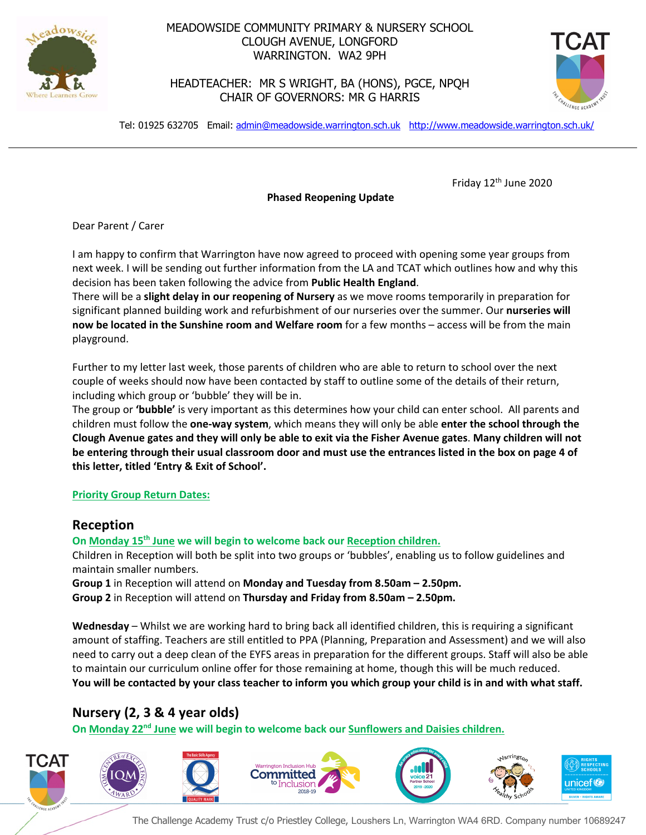

## MEADOWSIDE COMMUNITY PRIMARY & NURSERY SCHOOL CLOUGH AVENUE, LONGFORD WARRINGTON. WA2 9PH

HEADTEACHER: MR S WRIGHT, BA (HONS), PGCE, NPQH CHAIR OF GOVERNORS: MR G HARRIS



Tel: 01925 632705 Email: admin@meadowside.warrington.sch.uk http://www.meadowside.warrington.sch.uk/

Friday 12<sup>th</sup> June 2020

**Phased Reopening Update**

Dear Parent / Carer

I am happy to confirm that Warrington have now agreed to proceed with opening some year groups from next week. I will be sending out further information from the LA and TCAT which outlines how and why this decision has been taken following the advice from **Public Health England**.

There will be a **slight delay in our reopening of Nursery** as we move rooms temporarily in preparation for significant planned building work and refurbishment of our nurseries over the summer. Our **nurseries will now be located in the Sunshine room and Welfare room** for a few months – access will be from the main playground.

Further to my letter last week, those parents of children who are able to return to school over the next couple of weeks should now have been contacted by staff to outline some of the details of their return, including which group or 'bubble' they will be in.

The group or **'bubble'** is very important as this determines how your child can enter school. All parents and children must follow the **one-way system**, which means they will only be able **enter the school through the Clough Avenue gates and they will only be able to exit via the Fisher Avenue gates**. **Many children will not be entering through their usual classroom door and must use the entrances listed in the box on page 4 of this letter, titled 'Entry & Exit of School'.**

## **Priority Group Return Dates:**

## **Reception**

**On Monday 15th June we will begin to welcome back our Reception children.**

Children in Reception will both be split into two groups or 'bubbles', enabling us to follow guidelines and maintain smaller numbers.

**Group 1** in Reception will attend on **Monday and Tuesday from 8.50am – 2.50pm. Group 2** in Reception will attend on **Thursday and Friday from 8.50am – 2.50pm.**

**Wednesday** – Whilst we are working hard to bring back all identified children, this is requiring a significant amount of staffing. Teachers are still entitled to PPA (Planning, Preparation and Assessment) and we will also need to carry out a deep clean of the EYFS areas in preparation for the different groups. Staff will also be able to maintain our curriculum online offer for those remaining at home, though this will be much reduced. **You will be contacted by your class teacher to inform you which group your child is in and with what staff.**

# **Nursery (2, 3 & 4 year olds)**

**On Monday 22nd June we will begin to welcome back our Sunflowers and Daisies children.**



The Challenge Academy Trust c/o Priestley College, Loushers Ln, Warrington WA4 6RD. Company number 10689247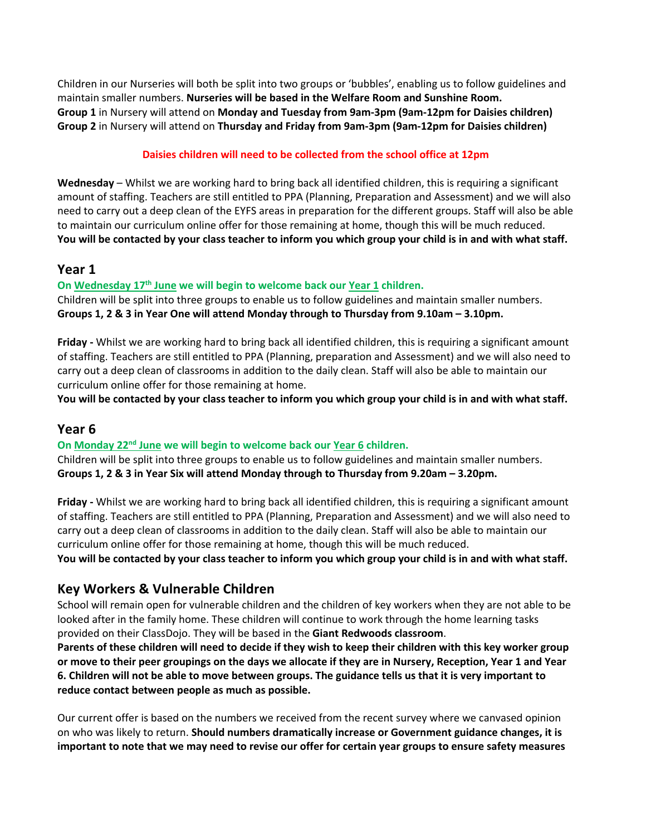Children in our Nurseries will both be split into two groups or 'bubbles', enabling us to follow guidelines and maintain smaller numbers. **Nurseries will be based in the Welfare Room and Sunshine Room. Group 1** in Nursery will attend on **Monday and Tuesday from 9am-3pm (9am-12pm for Daisies children) Group 2** in Nursery will attend on **Thursday and Friday from 9am-3pm (9am-12pm for Daisies children)**

## **Daisies children will need to be collected from the school office at 12pm**

**Wednesday** – Whilst we are working hard to bring back all identified children, this is requiring a significant amount of staffing. Teachers are still entitled to PPA (Planning, Preparation and Assessment) and we will also need to carry out a deep clean of the EYFS areas in preparation for the different groups. Staff will also be able to maintain our curriculum online offer for those remaining at home, though this will be much reduced. **You will be contacted by your class teacher to inform you which group your child is in and with what staff.**

## **Year 1**

### **On Wednesday 17th June we will begin to welcome back our Year 1 children.**

Children will be split into three groups to enable us to follow guidelines and maintain smaller numbers. **Groups 1, 2 & 3 in Year One will attend Monday through to Thursday from 9.10am – 3.10pm.** 

**Friday -** Whilst we are working hard to bring back all identified children, this is requiring a significant amount of staffing. Teachers are still entitled to PPA (Planning, preparation and Assessment) and we will also need to carry out a deep clean of classrooms in addition to the daily clean. Staff will also be able to maintain our curriculum online offer for those remaining at home.

**You will be contacted by your class teacher to inform you which group your child is in and with what staff.**

## **Year 6**

### **On Monday 22nd June we will begin to welcome back our Year 6 children.**

Children will be split into three groups to enable us to follow guidelines and maintain smaller numbers. **Groups 1, 2 & 3 in Year Six will attend Monday through to Thursday from 9.20am – 3.20pm.**

**Friday -** Whilst we are working hard to bring back all identified children, this is requiring a significant amount of staffing. Teachers are still entitled to PPA (Planning, Preparation and Assessment) and we will also need to carry out a deep clean of classrooms in addition to the daily clean. Staff will also be able to maintain our curriculum online offer for those remaining at home, though this will be much reduced. **You will be contacted by your class teacher to inform you which group your child is in and with what staff.**

## **Key Workers & Vulnerable Children**

School will remain open for vulnerable children and the children of key workers when they are not able to be looked after in the family home. These children will continue to work through the home learning tasks provided on their ClassDojo. They will be based in the **Giant Redwoods classroom**.

**Parents of these children will need to decide if they wish to keep their children with this key worker group or move to their peer groupings on the days we allocate if they are in Nursery, Reception, Year 1 and Year 6. Children will not be able to move between groups. The guidance tells us that it is very important to reduce contact between people as much as possible.** 

Our current offer is based on the numbers we received from the recent survey where we canvased opinion on who was likely to return. **Should numbers dramatically increase or Government guidance changes, it is important to note that we may need to revise our offer for certain year groups to ensure safety measures**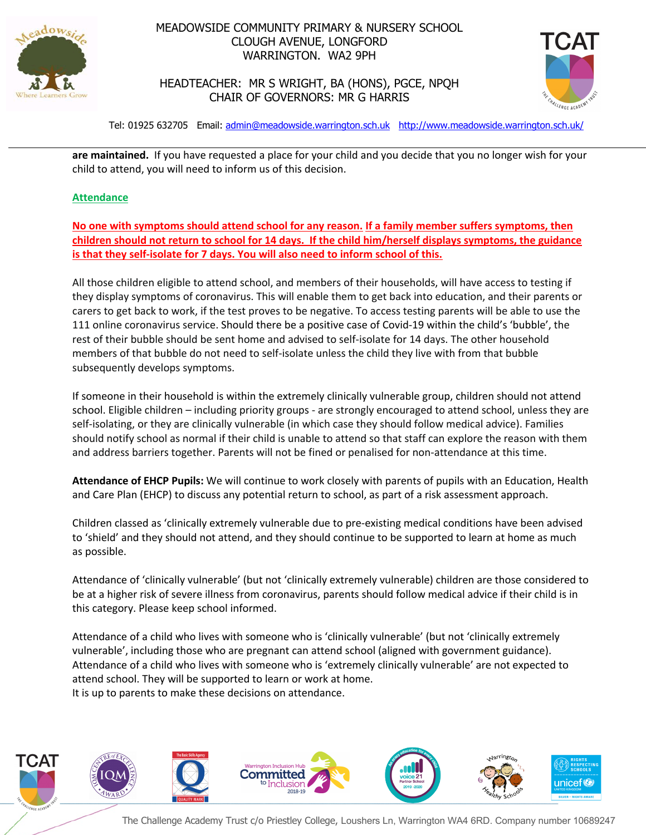

## MEADOWSIDE COMMUNITY PRIMARY & NURSERY SCHOOL CLOUGH AVENUE, LONGFORD WARRINGTON. WA2 9PH



HEADTEACHER: MR S WRIGHT, BA (HONS), PGCE, NPQH CHAIR OF GOVERNORS: MR G HARRIS

Tel: 01925 632705 Email: admin@meadowside.warrington.sch.uk http://www.meadowside.warrington.sch.uk/

**are maintained.** If you have requested a place for your child and you decide that you no longer wish for your child to attend, you will need to inform us of this decision.

### **Attendance**

**No one with symptoms should attend school for any reason. If a family member suffers symptoms, then children should not return to school for 14 days. If the child him/herself displays symptoms, the guidance is that they self-isolate for 7 days. You will also need to inform school of this.**

All those children eligible to attend school, and members of their households, will have access to testing if they display symptoms of coronavirus. This will enable them to get back into education, and their parents or carers to get back to work, if the test proves to be negative. To access testing parents will be able to use the 111 online coronavirus service. Should there be a positive case of Covid-19 within the child's 'bubble', the rest of their bubble should be sent home and advised to self-isolate for 14 days. The other household members of that bubble do not need to self-isolate unless the child they live with from that bubble subsequently develops symptoms.

If someone in their household is within the extremely clinically vulnerable group, children should not attend school. Eligible children – including priority groups - are strongly encouraged to attend school, unless they are self-isolating, or they are clinically vulnerable (in which case they should follow medical advice). Families should notify school as normal if their child is unable to attend so that staff can explore the reason with them and address barriers together. Parents will not be fined or penalised for non-attendance at this time.

**Attendance of EHCP Pupils:** We will continue to work closely with parents of pupils with an Education, Health and Care Plan (EHCP) to discuss any potential return to school, as part of a risk assessment approach.

Children classed as 'clinically extremely vulnerable due to pre-existing medical conditions have been advised to 'shield' and they should not attend, and they should continue to be supported to learn at home as much as possible.

Attendance of 'clinically vulnerable' (but not 'clinically extremely vulnerable) children are those considered to be at a higher risk of severe illness from coronavirus, parents should follow medical advice if their child is in this category. Please keep school informed.

Attendance of a child who lives with someone who is 'clinically vulnerable' (but not 'clinically extremely vulnerable', including those who are pregnant can attend school (aligned with government guidance). Attendance of a child who lives with someone who is 'extremely clinically vulnerable' are not expected to attend school. They will be supported to learn or work at home. It is up to parents to make these decisions on attendance.

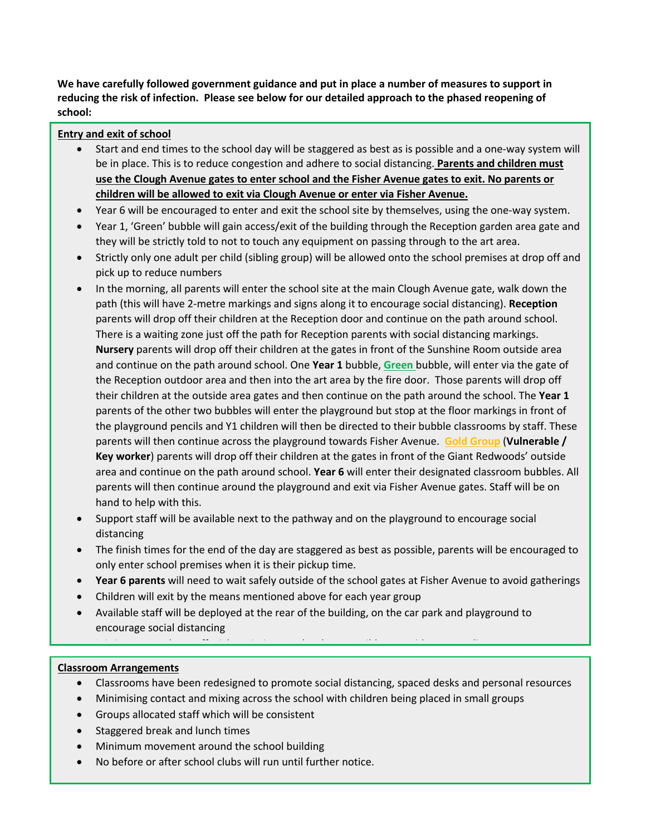**We have carefully followed government guidance and put in place a number of measures to support in reducing the risk of infection. Please see below for our detailed approach to the phased reopening of school:**

#### **Entry and exit of school**

- Start and end times to the school day will be staggered as best as is possible and a one-way system will be in place. This is to reduce congestion and adhere to social distancing. **Parents and children must use the Clough Avenue gates to enter school and the Fisher Avenue gates to exit. No parents or children will be allowed to exit via Clough Avenue or enter via Fisher Avenue.**
- Year 6 will be encouraged to enter and exit the school site by themselves, using the one-way system.
- Year 1, 'Green' bubble will gain access/exit of the building through the Reception garden area gate and they will be strictly told to not to touch any equipment on passing through to the art area.
- Strictly only one adult per child (sibling group) will be allowed onto the school premises at drop off and pick up to reduce numbers
- In the morning, all parents will enter the school site at the main Clough Avenue gate, walk down the path (this will have 2-metre markings and signs along it to encourage social distancing). **Reception** parents will drop off their children at the Reception door and continue on the path around school. There is a waiting zone just off the path for Reception parents with social distancing markings. **Nursery** parents will drop off their children at the gates in front of the Sunshine Room outside area and continue on the path around school. One **Year 1** bubble, **Green** bubble, will enter via the gate of the Reception outdoor area and then into the art area by the fire door. Those parents will drop off their children at the outside area gates and then continue on the path around the school. The **Year 1** parents of the other two bubbles will enter the playground but stop at the floor markings in front of the playground pencils and Y1 children will then be directed to their bubble classrooms by staff. These parents will then continue across the playground towards Fisher Avenue. **Gold Group** (**Vulnerable / Key worker**) parents will drop off their children at the gates in front of the Giant Redwoods' outside area and continue on the path around school. **Year 6** will enter their designated classroom bubbles. All parents will then continue around the playground and exit via Fisher Avenue gates. Staff will be on hand to help with this.
- Support staff will be available next to the pathway and on the playground to encourage social distancing
- The finish times for the end of the day are staggered as best as possible, parents will be encouraged to only enter school premises when it is their pickup time.
- **Year 6 parents** will need to wait safely outside of the school gates at Fisher Avenue to avoid gatherings
- Children will exit by the means mentioned above for each year group
- Available staff will be deployed at the rear of the building, on the car park and playground to encourage social distancing

 $\mathcal{F}(\mathcal{F})$  is that staff stick to timing as constraints as constraints as  $\mathcal{F}(\mathcal{F})$ 

#### • Parents will not be allowed to access the school office and any messages or notes will be passed at the **Classroom Arrangements**

- Classrooms have been redesigned to promote social distancing, spaced desks and personal resources
- Cassivoring nave been reading individual or promote social distancing, spaced desits and personal<br>• Minimising contact and mixing across the school with children being placed in small groups
- Williamsing contact and mixing across the school with emiated semigregative at any time start of the school with emiated staff
- Staggered break and lunch times
- Minimum movement around the school building
- No before or after school clubs will run until further notice.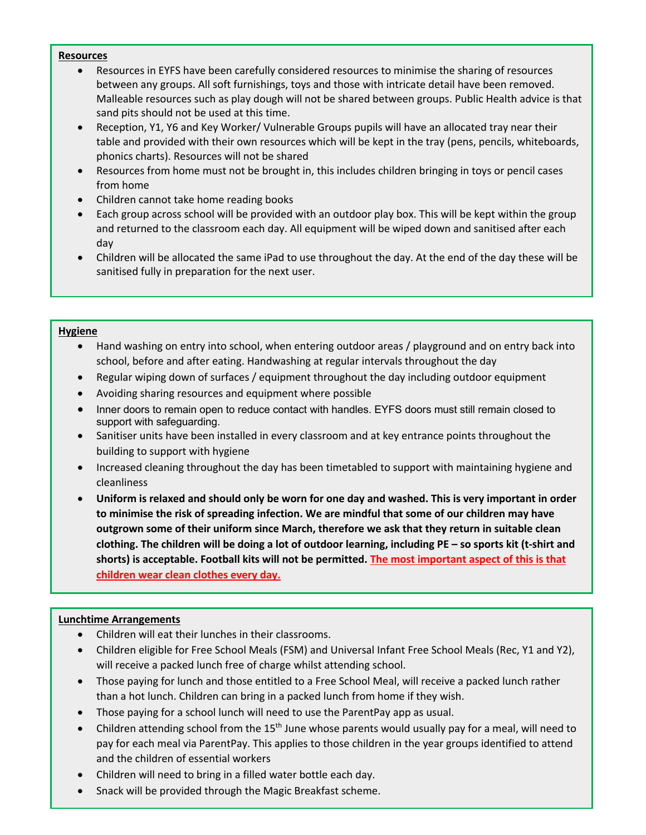#### **Resources**

- Resources in EYFS have been carefully considered resources to minimise the sharing of resources between any groups. All soft furnishings, toys and those with intricate detail have been removed. Malleable resources such as play dough will not be shared between groups. Public Health advice is that sand pits should not be used at this time.
- Reception, Y1, Y6 and Key Worker/ Vulnerable Groups pupils will have an allocated tray near their table and provided with their own resources which will be kept in the tray (pens, pencils, whiteboards, phonics charts). Resources will not be shared
- Resources from home must not be brought in, this includes children bringing in toys or pencil cases from home
- Children cannot take home reading books
- Each group across school will be provided with an outdoor play box. This will be kept within the group and returned to the classroom each day. All equipment will be wiped down and sanitised after each day
- Children will be allocated the same iPad to use throughout the day. At the end of the day these will be sanitised fully in preparation for the next user.

#### **Hygiene**

- Hand washing on entry into school, when entering outdoor areas / playground and on entry back into school, before and after eating. Handwashing at regular intervals throughout the day
- Regular wiping down of surfaces / equipment throughout the day including outdoor equipment
- Avoiding sharing resources and equipment where possible
- Inner doors to remain open to reduce contact with handles. EYFS doors must still remain closed to support with safeguarding.
- Sanitiser units have been installed in every classroom and at key entrance points throughout the building to support with hygiene
- Increased cleaning throughout the day has been timetabled to support with maintaining hygiene and cleanliness
- **Uniform is relaxed and should only be worn for one day and washed. This is very important in order to minimise the risk of spreading infection. We are mindful that some of our children may have outgrown some of their uniform since March, therefore we ask that they return in suitable clean clothing. The children will be doing a lot of outdoor learning, including PE – so sports kit (t-shirt and shorts) is acceptable. Football kits will not be permitted. The most important aspect of this is that children wear clean clothes every day.**

#### **Lunchtime Arrangements**

- Children will eat their lunches in their classrooms.
- Children eligible for Free School Meals (FSM) and Universal Infant Free School Meals (Rec, Y1 and Y2), will receive a packed lunch free of charge whilst attending school.
- Those paying for lunch and those entitled to a Free School Meal, will receive a packed lunch rather than a hot lunch. Children can bring in a packed lunch from home if they wish.
- Those paying for a school lunch will need to use the ParentPay app as usual.
- Children attending school from the 15<sup>th</sup> June whose parents would usually pay for a meal, will need to pay for each meal via ParentPay. This applies to those children in the year groups identified to attend and the children of essential workers
- Children will need to bring in a filled water bottle each day.
- Snack will be provided through the Magic Breakfast scheme.